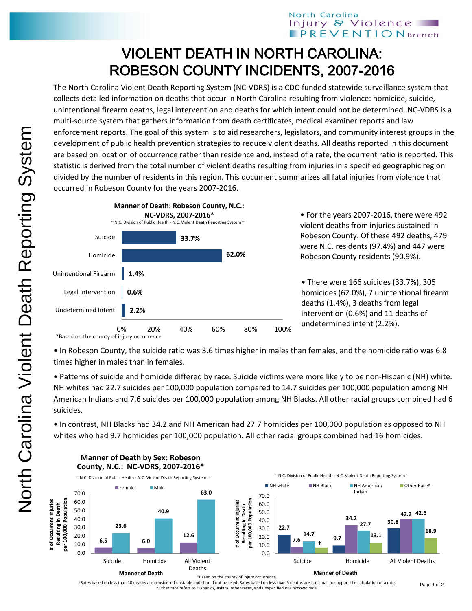## North Carolina Injury & Violence **PREVENTION** Branch

## VIOLENT DEATH IN NORTH CAROLINA: ROBESON COUNTY INCIDENTS, 2007-2016

The North Carolina Violent Death Reporting System (NC-VDRS) is a CDC-funded statewide surveillance system that collects detailed information on deaths that occur in North Carolina resulting from violence: homicide, suicide, unintentional firearm deaths, legal intervention and deaths for which intent could not be determined. NC-VDRS is a multi-source system that gathers information from death certificates, medical examiner reports and law enforcement reports. The goal of this system is to aid researchers, legislators, and community interest groups in the development of public health prevention strategies to reduce violent deaths. All deaths reported in this document are based on location of occurrence rather than residence and, instead of a rate, the ocurrent ratio is reported. This statistic is derived from the total number of violent deaths resulting from injuries in a specified geographic region divided by the number of residents in this region. This document summarizes all fatal injuries from violence that occurred in Robeson County for the years 2007-2016.



• For the years 2007-2016, there were 492 violent deaths from injuries sustained in Robeson County. Of these 492 deaths, 479 were N.C. residents (97.4%) and 447 were Robeson County residents (90.9%).

• There were 166 suicides (33.7%), 305 homicides (62.0%), 7 unintentional firearm deaths (1.4%), 3 deaths from legal intervention (0.6%) and 11 deaths of undetermined intent (2.2%).

\*Based on the county of injury occurrence.

• In Robeson County, the suicide ratio was 3.6 times higher in males than females, and the homicide ratio was 6.8 times higher in males than in females.

• Patterns of suicide and homicide differed by race. Suicide victims were more likely to be non-Hispanic (NH) white. NH whites had 22.7 suicides per 100,000 population compared to 14.7 suicides per 100,000 population among NH American Indians and 7.6 suicides per 100,000 population among NH Blacks. All other racial groups combined had 6 suicides.

• In contrast, NH Blacks had 34.2 and NH American had 27.7 homicides per 100,000 population as opposed to NH whites who had 9.7 homicides per 100,000 population. All other racial groups combined had 16 homicides.



**Manner of Death by Sex: Robeson County, N.C.: NC-VDRS, 2007-2016\***

of Occurrent Injuries

\*Based on the county of injury occurrence.

†Rates based on less than 10 deaths are considered unstable and should not be used. Rates based on less than 5 deaths are too small to support the calculation of a rate. ^Other race refers to Hispanics, Asians, other races, and unspecified or unknown race.